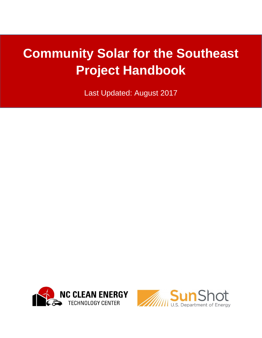# **Community Solar for the Southeast Project Handbook**

Last Updated: August 2017



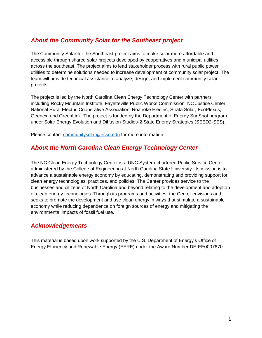#### *About the Community Solar for the Southeast project*

The Community Solar for the Southeast project aims to make solar more affordable and accessible through shared solar projects developed by cooperatives and municipal utilities across the southeast. The project aims to lead stakeholder process with rural public power utilities to determine solutions needed to increase development of community solar project. The team will provide technical assistance to analyze, design, and implement community solar projects.

The project is led by the North Carolina Clean Energy Technology Center with partners including Rocky Mountain Institute, Fayetteville Public Works Commission, NC Justice Center, National Rural Electric Cooperative Association, Roanoke Electric, Strata Solar, EcoPlexus, Geenex, and GreenLink. The project is funded by the Department of Energy SunShot program under Solar Energy Evolution and Diffusion Studies-2-State Energy Strategies (SEED2-SES).

Please contact [communitysolar@ncsu.edu](mailto:communitysolar@ncsu.edu) for more information.

#### *About the North Carolina Clean Energy Technology Center*

The NC Clean Energy Technology Center is a UNC System-chartered Public Service Center administered by the College of Engineering at North Carolina State University. Its mission is to advance a sustainable energy economy by educating, demonstrating and providing support for clean energy technologies, practices, and policies. The Center provides service to the businesses and citizens of North Carolina and beyond relating to the development and adoption of clean energy technologies. Through its programs and activities, the Center envisions and seeks to promote the development and use clean energy in ways that stimulate a sustainable economy while reducing dependence on foreign sources of energy and mitigating the environmental impacts of fossil fuel use.

#### *Acknowledgements*

This material is based upon work supported by the U.S. Department of Energy's Office of Energy Efficiency and Renewable Energy (EERE) under the Award Number DE-EE0007670.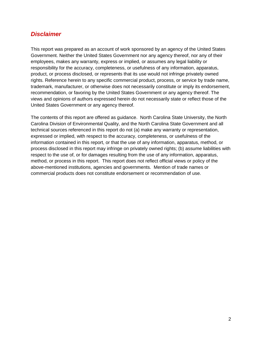#### *Disclaimer*

This report was prepared as an account of work sponsored by an agency of the United States Government. Neither the United States Government nor any agency thereof, nor any of their employees, makes any warranty, express or implied, or assumes any legal liability or responsibility for the accuracy, completeness, or usefulness of any information, apparatus, product, or process disclosed, or represents that its use would not infringe privately owned rights. Reference herein to any specific commercial product, process, or service by trade name, trademark, manufacturer, or otherwise does not necessarily constitute or imply its endorsement, recommendation, or favoring by the United States Government or any agency thereof. The views and opinions of authors expressed herein do not necessarily state or reflect those of the United States Government or any agency thereof.

The contents of this report are offered as guidance. North Carolina State University, the North Carolina Division of Environmental Quality, and the North Carolina State Government and all technical sources referenced in this report do not (a) make any warranty or representation, expressed or implied, with respect to the accuracy, completeness, or usefulness of the information contained in this report, or that the use of any information, apparatus, method, or process disclosed in this report may infringe on privately owned rights; (b) assume liabilities with respect to the use of, or for damages resulting from the use of any information, apparatus, method, or process in this report. This report does not reflect official views or policy of the above-mentioned institutions, agencies and governments. Mention of trade names or commercial products does not constitute endorsement or recommendation of use.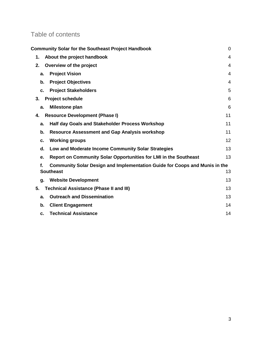# Table of contents

| <b>Community Solar for the Southeast Project Handbook</b>                        | $\mathbf 0$    |
|----------------------------------------------------------------------------------|----------------|
| About the project handbook<br>1.                                                 | 4              |
| 2.<br>Overview of the project                                                    | 4              |
| <b>Project Vision</b><br>a.                                                      | 4              |
| <b>Project Objectives</b><br>b.                                                  | $\overline{4}$ |
| <b>Project Stakeholders</b><br>c.                                                | 5              |
| <b>Project schedule</b><br>3.                                                    | 6              |
| <b>Milestone plan</b><br>a.                                                      | 6              |
| <b>Resource Development (Phase I)</b><br>4.                                      | 11             |
| <b>Half day Goals and Stakeholder Process Workshop</b><br>a.                     | 11             |
| <b>Resource Assessment and Gap Analysis workshop</b><br>b.                       | 11             |
| <b>Working groups</b><br>c.                                                      | 12             |
| Low and Moderate Income Community Solar Strategies<br>d.                         | 13             |
| Report on Community Solar Opportunities for LMI in the Southeast<br>e.           | 13             |
| Community Solar Design and Implementation Guide for Coops and Munis in the<br>f. |                |
| <b>Southeast</b>                                                                 | 13             |
| <b>Website Development</b><br>g.                                                 | 13             |
| 5.<br><b>Technical Assistance (Phase II and III)</b>                             | 13             |
| <b>Outreach and Dissemination</b><br>a.                                          | 13             |
| b.<br><b>Client Engagement</b>                                                   | 14             |
| <b>Technical Assistance</b><br>C.                                                | 14             |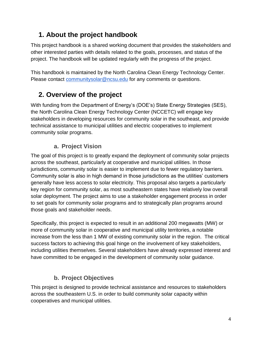# <span id="page-4-0"></span>**1. About the project handbook**

This project handbook is a shared working document that provides the stakeholders and other interested parties with details related to the goals, processes, and status of the project. The handbook will be updated regularly with the progress of the project.

This handbook is maintained by the North Carolina Clean Energy Technology Center. Please contact [communitysolar@ncsu.edu](mailto:communitysolar@ncsu.edu) for any comments or questions.

# <span id="page-4-1"></span>**2. Overview of the project**

With funding from the Department of Energy's (DOE's) State Energy Strategies (SES), the North Carolina Clean Energy Technology Center (NCCETC) will engage key stakeholders in developing resources for community solar in the southeast, and provide technical assistance to municipal utilities and electric cooperatives to implement community solar programs.

## **a. Project Vision**

<span id="page-4-2"></span>The goal of this project is to greatly expand the deployment of community solar projects across the southeast, particularly at cooperative and municipal utilities. In those jurisdictions, community solar is easier to implement due to fewer regulatory barriers. Community solar is also in high demand in those jurisdictions as the utilities' customers generally have less access to solar electricity. This proposal also targets a particularly key region for community solar, as most southeastern states have relatively low overall solar deployment. The project aims to use a stakeholder engagement process in order to set goals for community solar programs and to strategically plan programs around those goals and stakeholder needs.

Specifically, this project is expected to result in an additional 200 megawatts (MW) or more of community solar in cooperative and municipal utility territories, a notable increase from the less than 1 MW of existing community solar in the region. The critical success factors to achieving this goal hinge on the involvement of key stakeholders, including utilities themselves. Several stakeholders have already expressed interest and have committed to be engaged in the development of community solar guidance.

## **b. Project Objectives**

<span id="page-4-3"></span>This project is designed to provide technical assistance and resources to stakeholders across the southeastern U.S. in order to build community solar capacity within cooperatives and municipal utilities.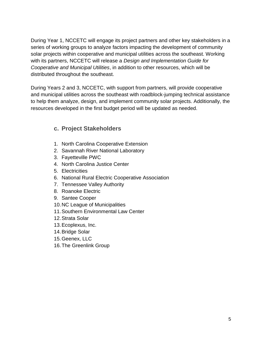During Year 1, NCCETC will engage its project partners and other key stakeholders in a series of working groups to analyze factors impacting the development of community solar projects within cooperative and municipal utilities across the southeast. Working with its partners, NCCETC will release a *Design and Implementation Guide for Cooperative and Municipal Utilities*, in addition to other resources, which will be distributed throughout the southeast.

During Years 2 and 3, NCCETC, with support from partners, will provide cooperative and municipal utilities across the southeast with roadblock-jumping technical assistance to help them analyze, design, and implement community solar projects. Additionally, the resources developed in the first budget period will be updated as needed.

#### <span id="page-5-0"></span>**c. Project Stakeholders**

- 1. North Carolina Cooperative Extension
- 2. Savannah River National Laboratory
- 3. Fayetteville PWC
- 4. North Carolina Justice Center
- 5. Electricities
- 6. National Rural Electric Cooperative Association
- 7. Tennessee Valley Authority
- 8. Roanoke Electric
- 9. Santee Cooper
- 10.NC League of Municipalities
- 11.Southern Environmental Law Center
- 12.Strata Solar
- 13.Ecoplexus, Inc.
- 14.Bridge Solar
- 15.Geenex, LLC
- 16.The Greenlink Group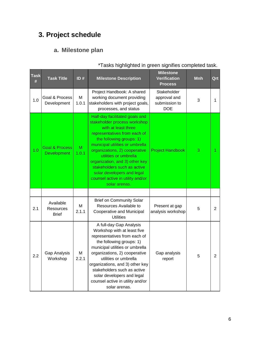# <span id="page-6-1"></span><span id="page-6-0"></span>**3. Project schedule**

## **a. Milestone plan**

| Task<br># | <b>Task Title</b>                               | ID#        | <b>Milestone Description</b>                                                                                                                                                                                                                                                                                                                                                                       | <b>Milestone</b><br><b>Verification</b><br><b>Process</b>  | <b>Mnh</b> | Qrt            |
|-----------|-------------------------------------------------|------------|----------------------------------------------------------------------------------------------------------------------------------------------------------------------------------------------------------------------------------------------------------------------------------------------------------------------------------------------------------------------------------------------------|------------------------------------------------------------|------------|----------------|
| 1.0       | Goal & Process<br>Development                   | M<br>1.0.1 | Project Handbook: A shared<br>working document providing<br>stakeholders with project goals,<br>processes, and status                                                                                                                                                                                                                                                                              | Stakeholder<br>approval and<br>submission to<br><b>DOE</b> | 3          | 1              |
| 1.0       | <b>Goal &amp; Process</b><br><b>Development</b> | M<br>1.0.1 | Half-day facilitated goals and<br>stakeholder process workshop<br>with at least three<br>representatives from each of<br>the following groups: 1)<br>municipal utilities or umbrella<br>organizations, 2) cooperative<br>utilities or umbrella<br>organization, and 3) other key<br>stakeholders such as active<br>solar developers and legal<br>counsel active in utility and/or<br>solar arenas. | <b>Project Handbook</b>                                    | 3          | 1              |
|           |                                                 |            |                                                                                                                                                                                                                                                                                                                                                                                                    |                                                            |            |                |
| 2.1       | Available<br>Resources<br><b>Brief</b>          | M<br>2.1.1 | <b>Brief on Community Solar</b><br>Resources Available to<br>Cooperative and Municipal<br><b>Utilities</b>                                                                                                                                                                                                                                                                                         | Present at gap<br>analysis workshop                        | 5          | $\overline{2}$ |
| 2.2       | Gap Analysis<br>Workshop                        | м<br>2.2.1 | A full-day Gap Analysis<br>Workshop with at least five<br>representatives from each of<br>the following groups: 1)<br>municipal utilities or umbrella<br>organizations, 2) cooperative<br>utilities or umbrella<br>organizations, and 3) other key<br>stakeholders such as active<br>solar developers and legal<br>counsel active in utility and/or<br>solar arenas.                               | Gap analysis<br>report                                     | 5          | 2              |

#### \*Tasks highlighted in green signifies completed task.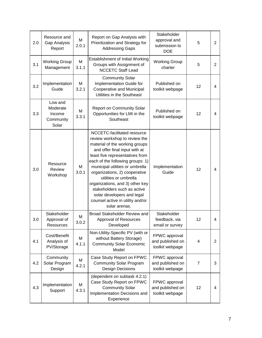| 2.0 | Resource and<br>Gap Analysis<br>Report              | M<br>2.0.1 | Report on Gap Analysis with<br>Prioritization and Strategy for<br><b>Addressing Gaps</b>                                                                                                                                                                                                                                                                                                                                                                 | Stakeholder<br>approval and<br>submission to<br><b>DOE</b> | 5              | 2              |
|-----|-----------------------------------------------------|------------|----------------------------------------------------------------------------------------------------------------------------------------------------------------------------------------------------------------------------------------------------------------------------------------------------------------------------------------------------------------------------------------------------------------------------------------------------------|------------------------------------------------------------|----------------|----------------|
| 3.1 | <b>Working Group</b><br>Management                  | M<br>3.1.1 | <b>Establishment of Initial Working</b><br>Groups with Assignment of<br><b>NCCETC Staff Lead</b>                                                                                                                                                                                                                                                                                                                                                         | <b>Working Group</b><br>charter                            | 5              | 2              |
| 3.2 | Implementation<br>Guide                             | М<br>3.2.1 | <b>Community Solar</b><br>Implementation Guide for<br>Cooperative and Municipal<br>Utilities in the Southeast                                                                                                                                                                                                                                                                                                                                            | Published on<br>toolkit webpage                            | 12             | 4              |
| 3.3 | Low and<br>Moderate<br>Income<br>Community<br>Solar | М<br>3.3.1 | <b>Report on Community Solar</b><br>Opportunities for LMI in the<br>Southeast                                                                                                                                                                                                                                                                                                                                                                            | Published on<br>toolkit webpage                            | 12             | 4              |
| 3.0 | Resource<br>Review<br>Workshop                      | M<br>3.0.1 | NCCETC-facilitated resource<br>review workshop to review the<br>material of the working groups<br>and offer final input with at<br>least five representatives from<br>each of the following groups: 1)<br>municipal utilities or umbrella<br>organizations, 2) cooperative<br>utilities or umbrella<br>organizations, and 3) other key<br>stakeholders such as active<br>solar developers and legal<br>counsel active in utility and/or<br>solar arenas. | Implementation<br>Guide                                    | 12             | 4              |
| 3.0 | Stakeholder<br>Approval of<br>Resources             | Μ<br>3.0.2 | Broad Stakeholder Review and<br>Approval of Resources<br>Developed                                                                                                                                                                                                                                                                                                                                                                                       | Stakeholder<br>feedback, via<br>email or survey            | 12             | 4              |
| 4.1 | Cost/Benefit<br>Analysis of<br>PV/Storage           | M<br>4.1.1 | Non-Utility-Specific PV (with or<br>without Battery Storage)<br><b>Community Solar Economic</b><br>Model                                                                                                                                                                                                                                                                                                                                                 | FPWC approval<br>and published on<br>toolkit webpage       | 4              | $\overline{2}$ |
| 4.2 | Community<br>Solar Program<br>Design                | M<br>4.2.1 | Case Study Report on FPWC<br><b>Community Solar Program</b><br><b>Design Decisions</b>                                                                                                                                                                                                                                                                                                                                                                   | FPWC approval<br>and published on<br>toolkit webpage       | $\overline{7}$ | 3              |
| 4.3 | Implementation<br>Support                           | M<br>4.3.1 | (dependent on subtask 4.2.1)<br>Case Study Report on FPWC<br><b>Community Solar</b><br>Implementation Decisions and<br>Experience                                                                                                                                                                                                                                                                                                                        | FPWC approval<br>and published on<br>toolkit webpage       | 12             | 4              |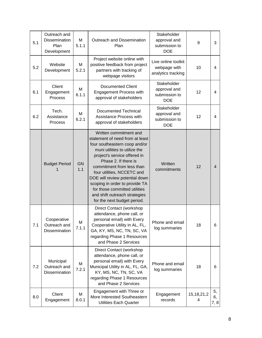| 5.1 | Outreach and<br><b>Dissemination</b><br>Plan<br>Development | M<br>5.1.1       | Outreach and Dissemination<br>Plan                                                                                                                                                                                                                                                                                                                                                                                  | Stakeholder<br>approval and<br>submission to<br><b>DOE</b> | 9                  | 3                |
|-----|-------------------------------------------------------------|------------------|---------------------------------------------------------------------------------------------------------------------------------------------------------------------------------------------------------------------------------------------------------------------------------------------------------------------------------------------------------------------------------------------------------------------|------------------------------------------------------------|--------------------|------------------|
| 5.2 | Website<br>Development                                      | M<br>5.2.1       | Project website online with<br>positive feedback from project<br>partners with tracking of<br>webpage visitors                                                                                                                                                                                                                                                                                                      | Live online toolkit<br>webpage with<br>analytics tracking  | 10                 | 4                |
| 6.1 | Client<br>Engagement<br>Process                             | M<br>6.1.1       | <b>Documented Client</b><br>Engagement Process with<br>approval of stakeholders                                                                                                                                                                                                                                                                                                                                     | Stakeholder<br>approval and<br>submission to<br><b>DOE</b> | 12                 | 4                |
| 6.2 | Tech.<br>Assistance<br>Process                              | M<br>6.2.1       | Documented Technical<br>Assistance Process with<br>approval of stakeholders                                                                                                                                                                                                                                                                                                                                         | Stakeholder<br>approval and<br>submission to<br><b>DOE</b> | 12                 | 4                |
|     | <b>Budget Period</b>                                        | <b>GN</b><br>1.1 | Written commitment and<br>statement of need from at least<br>four southeastern coop and/or<br>muni utilities to utilize the<br>project's service offered in<br>Phase 2. If there is<br>commitment from less than<br>four utilities, NCCETC and<br>DOE will review potential down<br>scoping in order to provide TA<br>for those committed utilities<br>and shift outreach strategies<br>for the next budget period. | Written<br>commitments                                     | 12                 | 4                |
| 7.1 | Cooperative<br>Outreach and<br><b>Dissemination</b>         | M<br>7.1.1       | Direct Contact (workshop<br>attendance, phone call, or<br>personal email) with Every<br>Cooperative Utility in AL, FL,<br>GA, KY, MS, NC, TN, SC, VA<br>regarding Phase 1 Resources<br>and Phase 2 Services                                                                                                                                                                                                         | Phone and email<br>log summaries                           | 18                 | 6                |
| 7.2 | Municipal<br>Outreach and<br><b>Dissemination</b>           | М<br>7.2.1       | Direct Contact (workshop<br>attendance, phone call, or<br>personal email) with Every<br>Municipal Utility in AL, FL, GA,<br>KY, MS, NC, TN, SC, VA<br>regarding Phase 1 Resources<br>and Phase 2 Services                                                                                                                                                                                                           | Phone and email<br>log summaries                           | 18                 | 6                |
| 8.0 | Client<br>Engagement                                        | M<br>8.0.1       | Engagement with Three or<br>More Interested Southeastern<br><b>Utilities Each Quarter</b>                                                                                                                                                                                                                                                                                                                           | Engagement<br>records                                      | 15, 18, 21, 2<br>4 | 5,<br>6,<br>7, 8 |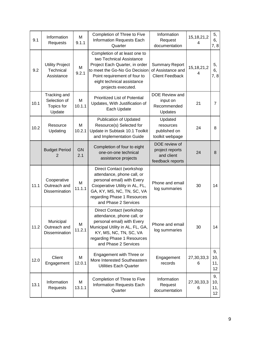| 9.1  | Information<br>Requests                              | M<br>9.1.1       | Completion of Three to Five<br>Information Requests Each<br>Quarter                                                                                                                                              | Information<br>Request<br>documentation                              | 15, 18, 21, 2<br>4 | 5,<br>6,<br>7,8                     |
|------|------------------------------------------------------|------------------|------------------------------------------------------------------------------------------------------------------------------------------------------------------------------------------------------------------|----------------------------------------------------------------------|--------------------|-------------------------------------|
| 9.2  | <b>Utility Project</b><br>Technical<br>Assistance    | М<br>9.2.1       | Completion of at least one to<br>two Technical Assistance<br>Project Each Quarter, in order<br>to meet the Go-No Go Decision<br>Point requirement of four to<br>eight technical assistance<br>projects executed. | <b>Summary Report</b><br>of Assistance and<br><b>Client Feedback</b> | 15, 18, 21, 2<br>4 | 5,<br>6,<br>7, 8                    |
| 10.1 | Tracking and<br>Selection of<br>Topics for<br>Update | М<br>10.1.1      | <b>Prioritized List of Potential</b><br>Updates, With Justification of<br>Each Update                                                                                                                            | DOE Review and<br>input on<br>Recommended<br>Updates                 | 21                 | 7                                   |
| 10.2 | Resource<br>Updating                                 | M<br>10.2.1      | <b>Publication of Updated</b><br>Resource(s) Selected for<br>Update in Subtask 10.1 Toolkit<br>and Implementation Guide                                                                                          | Updated<br>resources<br>published on<br>toolkit webpage              | 24                 | 8                                   |
|      | <b>Budget Period</b><br>2                            | <b>GN</b><br>2.1 | Completion of four to eight<br>one-on-one technical<br>assistance projects                                                                                                                                       | DOE review of<br>project reports<br>and client<br>feedback reports   | 24                 | 8                                   |
| 11.1 | Cooperative<br>Outreach and<br><b>Dissemination</b>  | M<br>11.1.1      | Direct Contact (workshop<br>attendance, phone call, or<br>personal email) with Every<br>Cooperative Utility in AL, FL,<br>GA, KY, MS, NC, TN, SC, VA<br>regarding Phase 1 Resources<br>and Phase 2 Services      | Phone and email<br>log summaries                                     | 30                 | 14                                  |
| 11.2 | Municipal<br>Outreach and<br>Dissemination           | м<br>11.2.1      | Direct Contact (workshop<br>attendance, phone call, or<br>personal email) with Every<br>Municipal Utility in AL, FL, GA,<br>KY, MS, NC, TN, SC, VA<br>regarding Phase 1 Resources<br>and Phase 2 Services        | Phone and email<br>log summaries                                     | 30                 | 14                                  |
| 12.0 | Client<br>Engagement                                 | М<br>12.0.1      | Engagement with Three or<br>More Interested Southeastern<br><b>Utilities Each Quarter</b>                                                                                                                        | Engagement<br>records                                                | 27,30,33,3<br>6    | 9,<br>10,<br>11,<br>12              |
| 13.1 | Information<br>Requests                              | М<br>13.1.1      | Completion of Three to Five<br>Information Requests Each<br>Quarter                                                                                                                                              | Information<br>Request<br>documentation                              | 27,30,33,3<br>6    | 9,<br>10,<br>11,<br>12 <sub>2</sub> |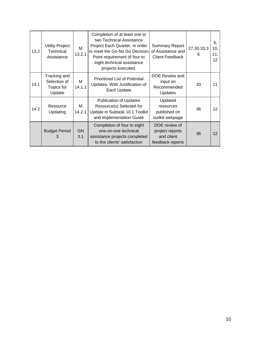| 13.2 | <b>Utility Project</b><br>Technical<br>Assistance    | м<br>13.2.1      | Completion of at least one to<br>two Technical Assistance<br>Project Each Quarter, in order<br>to meet the Go-No Go Decision<br>Point requirement of four to<br>eight technical assistance<br>projects executed. | <b>Summary Report</b><br>of Assistance and<br><b>Client Feedback</b> | 27,30,33,3<br>6 | 9,<br>10,<br>11,<br>$12 \overline{ }$ |
|------|------------------------------------------------------|------------------|------------------------------------------------------------------------------------------------------------------------------------------------------------------------------------------------------------------|----------------------------------------------------------------------|-----------------|---------------------------------------|
| 14.1 | Tracking and<br>Selection of<br>Topics for<br>Update | м<br>14.1.1      | <b>Prioritized List of Potential</b><br>Updates, With Justification of<br>Each Update                                                                                                                            | DOE Review and<br>input on<br>Recommended<br><b>Updates</b>          | 33              | 11                                    |
| 14.2 | Resource<br>Updating                                 | м<br>14.2.1      | <b>Publication of Updates</b><br>Resource(s) Selected for<br>Update in Subtask 10.1 Toolkit<br>and Implementation Guide                                                                                          | Updated<br>resources<br>published on<br>toolkit webpage              | 36              | 12 <sup>2</sup>                       |
|      | <b>Budget Period</b><br>3                            | <b>GN</b><br>3.1 | Completion of four to eight<br>one-on-one technical<br>assistance projects completed<br>to the clients' satisfaction                                                                                             | DOE review of<br>project reports<br>and client<br>feedback reports   | 36              | 12                                    |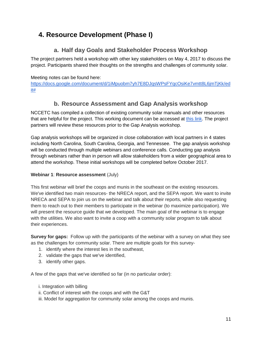# <span id="page-11-0"></span>**4. Resource Development (Phase I)**

#### **a. Half day Goals and Stakeholder Process Workshop**

<span id="page-11-1"></span>The project partners held a workshop with other key stakeholders on May 4, 2017 to discuss the project. Participants shared their thoughts on the strengths and challenges of community solar.

#### Meeting notes can be found here:

<span id="page-11-2"></span>[https://docs.google.com/document/d/1iMpuobm7yh7E8DJqsWPsFYqcOsiKe7vmtt8L6jmTjKk/ed](https://docs.google.com/document/d/1iMpuobm7yh7E8DJqsWPsFYqcOsiKe7vmtt8L6jmTjKk/edit) [it#](https://docs.google.com/document/d/1iMpuobm7yh7E8DJqsWPsFYqcOsiKe7vmtt8L6jmTjKk/edit)

#### **b. Resource Assessment and Gap Analysis workshop**

NCCETC has compiled a collection of existing community solar manuals and other resources that are helpful for the project. This working document can be accessed at [this link.](https://docs.google.com/document/d/1fM4hgMZl8t5NwpTu7qri9r4l659y1nBD-zy0t8cJNaE/edit) The project partners will review these resources prior to the Gap Analysis workshop.

Gap analysis workshops will be organized in close collaboration with local partners in 4 states including North Carolina, South Carolina, Georgia, and Tennessee. The gap analysis workshop will be conducted through multiple webinars and conference calls. Conducting gap analysis through webinars rather than in person will allow stakeholders from a wider geographical area to attend the workshop. These initial workshops will be completed before October 2017.

#### **Webinar 1**: **Resource assessment** (July)

This first webinar will brief the coops and munis in the southeast on the existing resources. We've identified two main resources- the NRECA report, and the SEPA report. We want to invite NRECA and SEPA to join us on the webinar and talk about their reports, while also requesting them to reach out to their members to participate in the webinar (to maximize participation). We will present the resource quide that we developed. The main goal of the webinar is to engage with the utilities. We also want to invite a coop with a community solar program to talk about their experiences.

**Survey for gaps:** Follow up with the participants of the webinar with a survey on what they see as the challenges for community solar. There are multiple goals for this survey-

- 1. identify where the interest lies in the southeast,
- 2. validate the gaps that we've identified,
- 3. identify other gaps.

A few of the gaps that we've identified so far (in no particular order):

- i. Integration with billing
- ii. Conflict of interest with the coops and with the G&T
- iii. Model for aggregation for community solar among the coops and munis.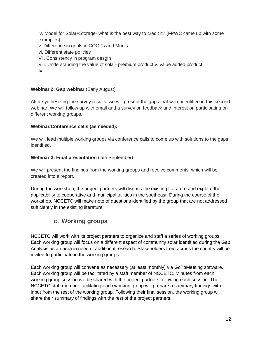iv. Model for Solar+Storage- what is the best way to credit it? (FPWC came up with some examples)

- v. Difference in goals in COOPs and Munis.
- vi. Different state policies
- Vii. Consistency in program desgin

Viii. Understanding the value of solar- premium product v. value added product. Ix.

#### **Webinar 2: Gap webinar (Early August)**

After synthesizing the survey results, we will present the gaps that were identified in this second webinar. We will follow up with email and a survey on feedback and interest on participating on different working groups.

#### **Webinar/Conference calls (as needed):**

We will lead multiple working groups via conference calls to come up with solutions to the gaps identified.

#### **Webinar 3: Final presentation** (late September)

We will present the findings from the working groups and receive comments, which will be created into a report.

During the workshop, the project partners will discuss the existing literature and explore their applicability to cooperative and municipal utilities in the southeast. During the course of the workshop, NCCETC will make note of questions identified by the group that are not addressed sufficiently in the existing literature.

#### **c. Working groups**

<span id="page-12-0"></span>NCCETC will work with its project partners to organize and staff a series of working groups. Each working group will focus on a different aspect of community solar identified during the Gap Analysis as an area in need of additional research. Stakeholders from across the country will be invited to participate in the working groups.

Each working group will convene as necessary (at least monthly) via GoToMeeting software. Each working group will be facilitated by a staff member of NCCETC. Minutes from each working group session will be shared with the project partners following each session. The NCCETC staff member facilitating each working group will prepare a summary findings with input from the rest of the working group. Following their final session, the working group will share their summary of findings with the rest of the project partners.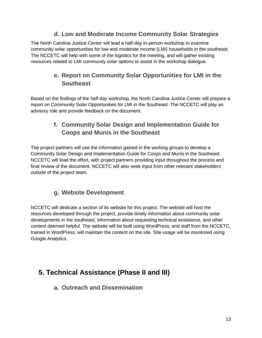#### **d. Low and Moderate Income Community Solar Strategies**

<span id="page-13-1"></span><span id="page-13-0"></span>The North Carolina Justice Center will lead a half-day in-person workshop to examine community solar opportunities for low and moderate income (LMI) households in the southeast. The NCCETC will help with some of the logistics for the meeting, and will gather existing resources related to LMI community solar options to assist in the workshop dialogue.

## **e. Report on Community Solar Opportunities for LMI in the Southeast**

<span id="page-13-2"></span>Based on the findings of the half-day workshop, the North Carolina Justice Center will prepare a report on Community Solar Opportunities for LMI in the Southeast. The NCCETC will play an advisory role and provide feedback on the document.

## **f. Community Solar Design and Implementation Guide for Coops and Munis in the Southeast**

The project partners will use the information gained in the working groups to develop a Community Solar Design and Implementation Guide for Coops and Munis in the Southeast. NCCETC will lead the effort, with project partners providing input throughout the process and final review of the document. NCCETC will also seek input from other relevant stakeholders outside of the project team.

## **g. Website Development**

<span id="page-13-3"></span>NCCETC will dedicate a section of its website for this project. The website will host the resources developed through the project, provide timely information about community solar developments in the southeast, information about requesting technical assistance, and other content deemed helpful. The website will be built using WordPress, and staff from the NCCETC, trained in WordPress, will maintain the content on the site. Site usage will be monitored using Google Analytics.

# <span id="page-13-5"></span><span id="page-13-4"></span>**5. Technical Assistance (Phase II and III)**

#### **a. Outreach and Dissemination**